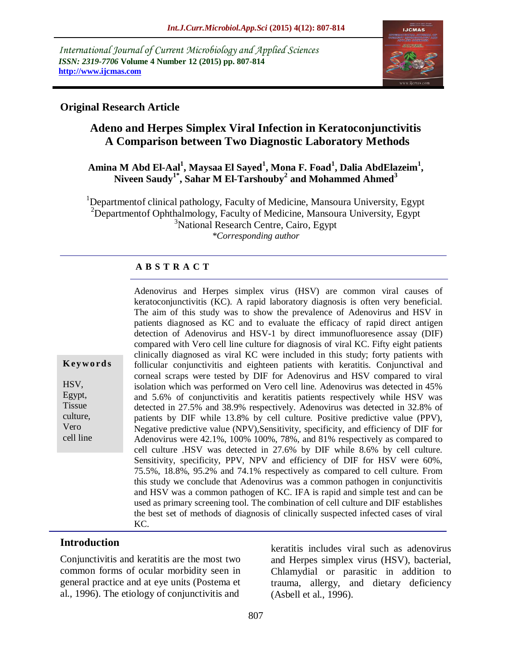*International Journal of Current Microbiology and Applied Sciences ISSN: 2319-7706* **Volume 4 Number 12 (2015) pp. 807-814 http://www.ijcmas.com**



# **Original Research Article**

# **Adeno and Herpes Simplex Viral Infection in Keratoconjunctivitis A Comparison between Two Diagnostic Laboratory Methods**

### **Amina M Abd El-Aal<sup>1</sup> , Maysaa El Sayed<sup>1</sup> , Mona F. Foad<sup>1</sup> , Dalia AbdElazeim<sup>1</sup> , Niveen Saudy1\* , Sahar M El-Tarshouby<sup>2</sup> and Mohammed Ahmed<sup>3</sup>**

<sup>1</sup>Departmentof clinical pathology, Faculty of Medicine, Mansoura University, Egypt <sup>2</sup>Departmentof Ophthalmology, Faculty of Medicine, Mansoura University, Egypt <sup>3</sup>National Research Centre, Cairo, Egypt *\*Corresponding author*

#### **A B S T R A C T**

Adenovirus and Herpes simplex virus (HSV) are common viral causes of keratoconjunctivitis (KC). A rapid laboratory diagnosis is often very beneficial. The aim of this study was to show the prevalence of Adenovirus and HSV in patients diagnosed as KC and to evaluate the efficacy of rapid direct antigen detection of Adenovirus and HSV-1 by direct immunofluoresence assay (DIF) compared with Vero cell line culture for diagnosis of viral KC. Fifty eight patients clinically diagnosed as viral KC were included in this study; forty patients with follicular conjunctivitis and eighteen patients with keratitis. Conjunctival and corneal scraps were tested by DIF for Adenovirus and HSV compared to viral isolation which was performed on Vero cell line. Adenovirus was detected in 45% and 5.6% of conjunctivitis and keratitis patients respectively while HSV was detected in 27.5% and 38.9% respectively. Adenovirus was detected in 32.8% of patients by DIF while 13.8% by cell culture. Positive predictive value (PPV), Negative predictive value (NPV),Sensitivity, specificity, and efficiency of DIF for Adenovirus were 42.1%, 100% 100%, 78%, and 81% respectively as compared to cell culture .HSV was detected in 27.6% by DIF while 8.6% by cell culture. Sensitivity, specificity, PPV, NPV and efficiency of DIF for HSV were 60%, 75.5%, 18.8%, 95.2% and 74.1% respectively as compared to cell culture. From this study we conclude that Adenovirus was a common pathogen in conjunctivitis and HSV was a common pathogen of KC. IFA is rapid and simple test and can be used as primary screening tool. The combination of cell culture and DIF establishes the best set of methods of diagnosis of clinically suspected infected cases of viral KC.

#### **Introduction**

**K ey w o rd s**

HSV, Egypt, Tissue culture, Vero cell line

Conjunctivitis and keratitis are the most two common forms of ocular morbidity seen in general practice and at eye units (Postema et al., 1996). The etiology of conjunctivitis and

keratitis includes viral such as adenovirus and Herpes simplex virus (HSV), bacterial, Chlamydial or parasitic in addition to trauma, allergy, and dietary deficiency (Asbell et al., 1996).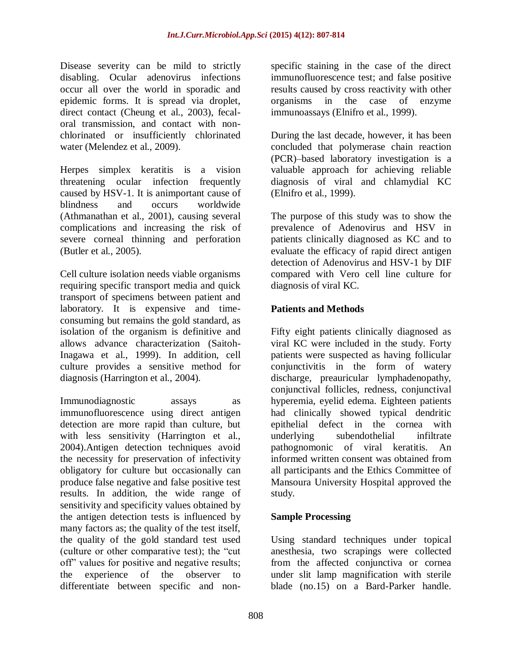Disease severity can be mild to strictly disabling. Ocular adenovirus infections occur all over the world in sporadic and epidemic forms. It is spread via droplet, direct contact (Cheung et al., 2003), fecaloral transmission, and contact with nonchlorinated or insufficiently chlorinated water (Melendez et al., 2009).

Herpes simplex keratitis is a vision threatening ocular infection frequently caused by HSV-1. It is animportant cause of blindness and occurs worldwide (Athmanathan et al., 2001), causing several complications and increasing the risk of severe corneal thinning and perforation (Butler et al., 2005).

Cell culture isolation needs viable organisms requiring specific transport media and quick transport of specimens between patient and laboratory. It is expensive and timeconsuming but remains the gold standard, as isolation of the organism is definitive and allows advance characterization (Saitoh-Inagawa et al., 1999). In addition, cell culture provides a sensitive method for diagnosis (Harrington et al., 2004).

Immunodiagnostic assays as immunofluorescence using direct antigen detection are more rapid than culture, but with less sensitivity (Harrington et al., 2004).Antigen detection techniques avoid the necessity for preservation of infectivity obligatory for culture but occasionally can produce false negative and false positive test results. In addition, the wide range of sensitivity and specificity values obtained by the antigen detection tests is influenced by many factors as; the quality of the test itself, the quality of the gold standard test used (culture or other comparative test); the "cut off" values for positive and negative results; the experience of the observer to differentiate between specific and nonspecific staining in the case of the direct immunofluorescence test; and false positive results caused by cross reactivity with other organisms in the case of enzyme immunoassays (Elnifro et al., 1999).

During the last decade, however, it has been concluded that polymerase chain reaction (PCR)–based laboratory investigation is a valuable approach for achieving reliable diagnosis of viral and chlamydial KC (Elnifro et al., 1999).

The purpose of this study was to show the prevalence of Adenovirus and HSV in patients clinically diagnosed as KC and to evaluate the efficacy of rapid direct antigen detection of Adenovirus and HSV-1 by DIF compared with Vero cell line culture for diagnosis of viral KC.

### **Patients and Methods**

Fifty eight patients clinically diagnosed as viral KC were included in the study. Forty patients were suspected as having follicular conjunctivitis in the form of watery discharge, preauricular lymphadenopathy, conjunctival follicles, redness, conjunctival hyperemia, eyelid edema. Eighteen patients had clinically showed typical dendritic epithelial defect in the cornea with underlying subendothelial infiltrate pathognomonic of viral keratitis. An informed written consent was obtained from all participants and the Ethics Committee of Mansoura University Hospital approved the study.

#### **Sample Processing**

Using standard techniques under topical anesthesia, two scrapings were collected from the affected conjunctiva or cornea under slit lamp magnification with sterile blade (no.15) on a Bard-Parker handle.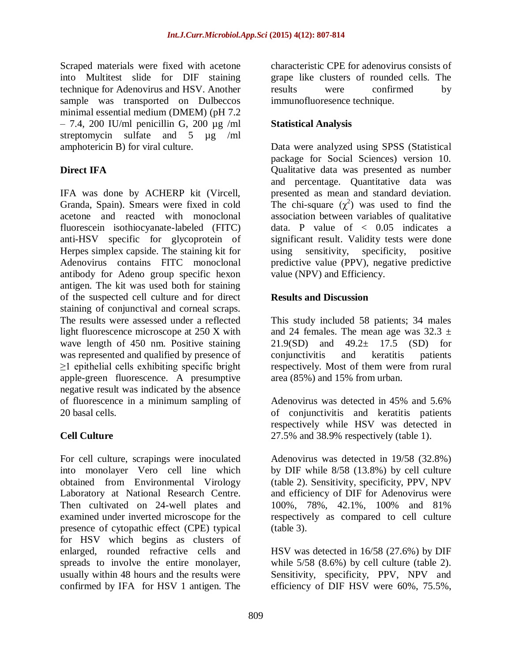Scraped materials were fixed with acetone into Multitest slide for DIF staining technique for Adenovirus and HSV. Another sample was transported on Dulbeccos minimal essential medium (DMEM) (pH 7.2  $-7.4$ , 200 IU/ml penicillin G, 200 µg /ml streptomycin sulfate and 5 µg /ml amphotericin B) for viral culture.

# **Direct IFA**

IFA was done by ACHERP kit (Vircell, Granda, Spain). Smears were fixed in cold acetone and reacted with monoclonal fluorescein isothiocyanate-labeled (FITC) anti-HSV specific for glycoprotein of Herpes simplex capside. The staining kit for Adenovirus contains FITC monoclonal antibody for Adeno group specific hexon antigen. The kit was used both for staining of the suspected cell culture and for direct staining of conjunctival and corneal scraps. The results were assessed under a reflected light fluorescence microscope at 250 X with wave length of 450 nm. Positive staining was represented and qualified by presence of  $\geq$ 1 epithelial cells exhibiting specific bright apple-green fluorescence. A presumptive negative result was indicated by the absence of fluorescence in a minimum sampling of 20 basal cells.

# **Cell Culture**

For cell culture, scrapings were inoculated into monolayer Vero cell line which obtained from Environmental Virology Laboratory at National Research Centre. Then cultivated on 24-well plates and examined under inverted microscope for the presence of cytopathic effect (CPE) typical for HSV which begins as clusters of enlarged, rounded refractive cells and spreads to involve the entire monolayer, usually within 48 hours and the results were confirmed by IFA for HSV 1 antigen. The

characteristic CPE for adenovirus consists of grape like clusters of rounded cells. The results were confirmed by immunofluoresence technique.

## **Statistical Analysis**

Data were analyzed using SPSS (Statistical package for Social Sciences) version 10. Qualitative data was presented as number and percentage. Quantitative data was presented as mean and standard deviation. The chi-square  $(\chi^2)$  was used to find the association between variables of qualitative data. P value of  $\langle 0.05 \rangle$  indicates a significant result. Validity tests were done using sensitivity, specificity, positive predictive value (PPV), negative predictive value (NPV) and Efficiency.

### **Results and Discussion**

This study included 58 patients; 34 males and 24 females. The mean age was  $32.3 \pm$ 21.9(SD) and  $49.2 \pm 17.5$  (SD) for conjunctivitis and keratitis patients respectively. Most of them were from rural area (85%) and 15% from urban.

Adenovirus was detected in 45% and 5.6% of conjunctivitis and keratitis patients respectively while HSV was detected in 27.5% and 38.9% respectively (table 1).

Adenovirus was detected in 19/58 (32.8%) by DIF while 8/58 (13.8%) by cell culture (table 2). Sensitivity, specificity, PPV, NPV and efficiency of DIF for Adenovirus were 100%, 78%, 42.1%, 100% and 81% respectively as compared to cell culture (table 3).

HSV was detected in 16/58 (27.6%) by DIF while  $5/58$   $(8.6\%)$  by cell culture (table 2). Sensitivity, specificity, PPV, NPV and efficiency of DIF HSV were 60%, 75.5%,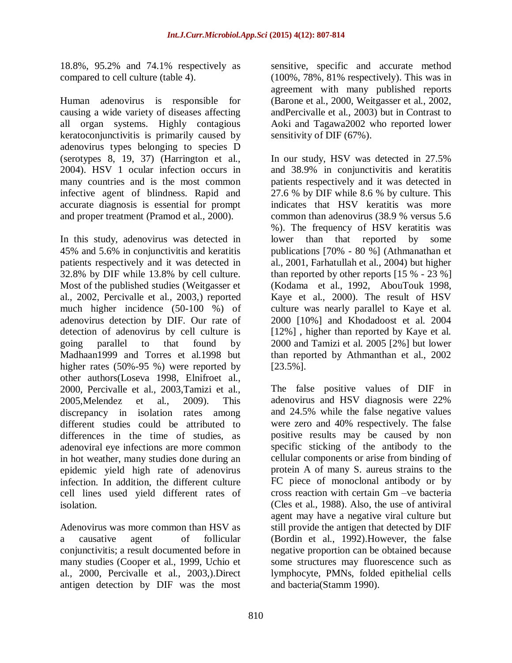18.8%, 95.2% and 74.1% respectively as compared to cell culture (table 4).

Human adenovirus is responsible for causing a wide variety of diseases affecting all organ systems. Highly contagious keratoconjunctivitis is primarily caused by adenovirus types belonging to species D (serotypes 8, 19, 37) (Harrington et al., 2004). HSV 1 ocular infection occurs in many countries and is the most common infective agent of blindness. Rapid and accurate diagnosis is essential for prompt and proper treatment (Pramod et al., 2000).

In this study, adenovirus was detected in 45% and 5.6% in conjunctivitis and keratitis patients respectively and it was detected in 32.8% by DIF while 13.8% by cell culture. Most of the published studies (Weitgasser et al., 2002, Percivalle et al., 2003,) reported much higher incidence (50-100 %) of adenovirus detection by DIF. Our rate of detection of adenovirus by cell culture is going parallel to that found by Madhaan1999 and Torres et al.1998 but higher rates (50%-95 %) were reported by other authors(Loseva 1998, Elnifroet al., 2000, Percivalle et al., 2003,Tamizi et al., 2005,Melendez et al., 2009). This discrepancy in isolation rates among different studies could be attributed to differences in the time of studies, as adenoviral eye infections are more common in hot weather, many studies done during an epidemic yield high rate of adenovirus infection. In addition, the different culture cell lines used yield different rates of isolation.

Adenovirus was more common than HSV as a causative agent of follicular conjunctivitis; a result documented before in many studies (Cooper et al., 1999, Uchio et al., 2000, Percivalle et al., 2003,).Direct antigen detection by DIF was the most

sensitive, specific and accurate method (100%, 78%, 81% respectively). This was in agreement with many published reports (Barone et al., 2000, Weitgasser et al., 2002, andPercivalle et al., 2003) but in Contrast to Aoki and Tagawa2002 who reported lower sensitivity of DIF (67%).

In our study, HSV was detected in 27.5% and 38.9% in conjunctivitis and keratitis patients respectively and it was detected in 27.6 % by DIF while 8.6 % by culture. This indicates that HSV keratitis was more common than adenovirus (38.9 % versus 5.6 %). The frequency of HSV keratitis was lower than that reported by some publications [70% - 80 %] (Athmanathan et al., 2001, Farhatullah et al., 2004) but higher than reported by other reports [15 % - 23 %] (Kodama et al., 1992, AbouTouk 1998, Kaye et al., 2000). The result of HSV culture was nearly parallel to Kaye et al. 2000 [10%] and Khodadoost et al. 2004 [12%], higher than reported by Kaye et al. 2000 and Tamizi et al. 2005 [2%] but lower than reported by Athmanthan et al., 2002 [23.5%].

The false positive values of DIF in adenovirus and HSV diagnosis were 22% and 24.5% while the false negative values were zero and 40% respectively. The false positive results may be caused by non specific sticking of the antibody to the cellular components or arise from binding of protein A of many S. aureus strains to the FC piece of monoclonal antibody or by cross reaction with certain Gm –ve bacteria (Cles et al., 1988). Also, the use of antiviral agent may have a negative viral culture but still provide the antigen that detected by DIF (Bordin et al., 1992).However, the false negative proportion can be obtained because some structures may fluorescence such as lymphocyte, PMNs, folded epithelial cells and bacteria(Stamm 1990).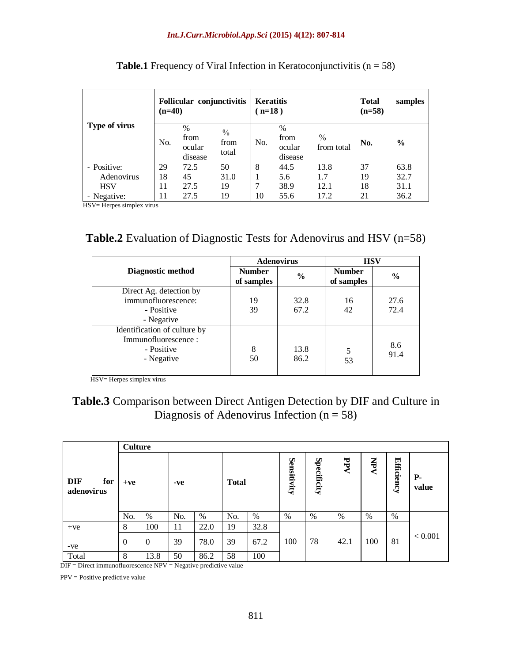| Type of virus | $(n=40)$ | Follicular conjunctivitis         |                                | <b>Keratitis</b><br>$n=18$ ) |                                | <b>Total</b><br>$(n=58)$ | samples |               |
|---------------|----------|-----------------------------------|--------------------------------|------------------------------|--------------------------------|--------------------------|---------|---------------|
|               | No.      | $\%$<br>from<br>ocular<br>disease | $\frac{0}{0}$<br>from<br>total | No.                          | %<br>from<br>ocular<br>disease | $\%$<br>from total       | No.     | $\frac{6}{9}$ |
| - Positive:   | 29       | 72.5                              | 50                             | 8                            | 44.5                           | 13.8                     | 37      | 63.8          |
| Adenovirus    | 18       | 45                                | 31.0                           |                              | 5.6                            | 1.7                      | 19      | 32.7          |
| <b>HSV</b>    | 11       | 27.5                              | 19                             |                              | 38.9                           | 12.1                     | 18      | 31.1          |
| - Negative:   | 11       | 27.5                              | 19                             | 10                           | 55.6                           | 17.2                     | 21      | 36.2          |

**Table.1** Frequency of Viral Infection in Keratoconjunctivitis  $(n = 58)$ 

HSV= Herpes simplex virus

# **Table.2** Evaluation of Diagnostic Tests for Adenovirus and HSV (n=58)

|                                                                                 | <b>Adenovirus</b>           |               | <b>HSV</b>                  |               |  |
|---------------------------------------------------------------------------------|-----------------------------|---------------|-----------------------------|---------------|--|
| <b>Diagnostic method</b>                                                        | <b>Number</b><br>of samples | $\frac{6}{9}$ | <b>Number</b><br>of samples | $\frac{6}{9}$ |  |
| Direct Ag. detection by<br>immunofluorescence:<br>- Positive<br>- Negative      | 19<br>39                    | 32.8<br>67.2  | 16<br>42                    | 27.6<br>72.4  |  |
| Identification of culture by<br>Immunofluorescence:<br>- Positive<br>- Negative | 8<br>50                     | 13.8<br>86.2  | 5<br>53                     | 8.6<br>91.4   |  |

HSV= Herpes simplex virus

# **Table.3** Comparison between Direct Antigen Detection by DIF and Culture in Diagnosis of Adenovirus Infection  $(n = 58)$

|                                 |          | <b>Culture</b> |     |      |              |      |             |             |      |     |                   |                    |  |
|---------------------------------|----------|----------------|-----|------|--------------|------|-------------|-------------|------|-----|-------------------|--------------------|--|
| <b>DIF</b><br>for<br>adenovirus | $+ve$    |                | -ve |      | <b>Total</b> |      | Sensitivity | Specificity | PPV  | XHV | <b>Efficiency</b> | <b>P-</b><br>value |  |
|                                 | No.      | %              | No. | $\%$ | No.          | %    | $\%$        | %           | %    | %   | %                 |                    |  |
| $+ve$                           | 8        | 100            | 11  | 22.0 | 19           | 32.8 |             |             |      |     |                   |                    |  |
| -ve                             | $\theta$ | $\theta$       | 39  | 78.0 | 39           | 67.2 | 100         | 78          | 42.1 | 100 | 81                | < 0.001            |  |
| Total                           | 8        | 13.8           | 50  | 86.2 | 58           | 100  |             |             |      |     |                   |                    |  |

DIF = Direct immunofluorescence NPV = Negative predictive value

PPV = Positive predictive value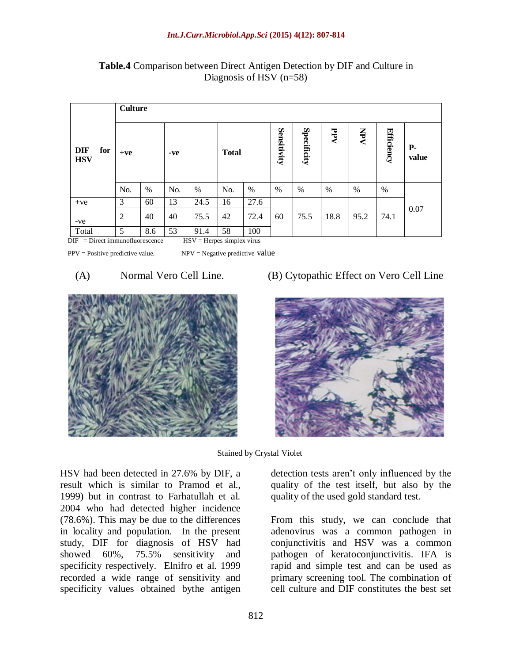|                                 |                | <b>Culture</b> |     |      |              |      |             |             |      |            |            |               |  |
|---------------------------------|----------------|----------------|-----|------|--------------|------|-------------|-------------|------|------------|------------|---------------|--|
| <b>DIF</b><br>for<br><b>HSV</b> | $+ve$          |                | -ve |      | <b>Total</b> |      | Sensitivity | Specificity | PPV  | <b>Nev</b> | Efficiency | $P-$<br>value |  |
|                                 | No.            | $\%$           | No. | %    | No.          | $\%$ | %           | %           | $\%$ | $\%$       | $\%$       |               |  |
| $+ve$                           | 3              | 60             | 13  | 24.5 | 16           | 27.6 |             |             |      |            |            |               |  |
| -ve                             | $\overline{2}$ | 40             | 40  | 75.5 | 42           | 72.4 | 60          | 75.5        | 18.8 | 95.2       | 74.1       | 0.07          |  |
| Total                           | 5              | 8.6            | 53  | 91.4 | 58           | 100  |             |             |      |            |            |               |  |

**Table.4** Comparison between Direct Antigen Detection by DIF and Culture in Diagnosis of HSV (n=58)

 $DIF = Direct immunofluorescence$   $HSV = Herpes simplex virus$ 

 $PPV = Positive predictive value.$  NPV = Negative predictive value



(A) Normal Vero Cell Line. (B) Cytopathic Effect on Vero Cell Line



Stained by Crystal Violet

HSV had been detected in 27.6% by DIF, a result which is similar to Pramod et al., 1999) but in contrast to Farhatullah et al. 2004 who had detected higher incidence (78.6%). This may be due to the differences in locality and population. In the present study, DIF for diagnosis of HSV had showed 60%, 75.5% sensitivity and specificity respectively. Elnifro et al. 1999 recorded a wide range of sensitivity and specificity values obtained bythe antigen detection tests aren't only influenced by the quality of the test itself, but also by the quality of the used gold standard test.

From this study, we can conclude that adenovirus was a common pathogen in conjunctivitis and HSV was a common pathogen of keratoconjunctivitis. IFA is rapid and simple test and can be used as primary screening tool. The combination of cell culture and DIF constitutes the best set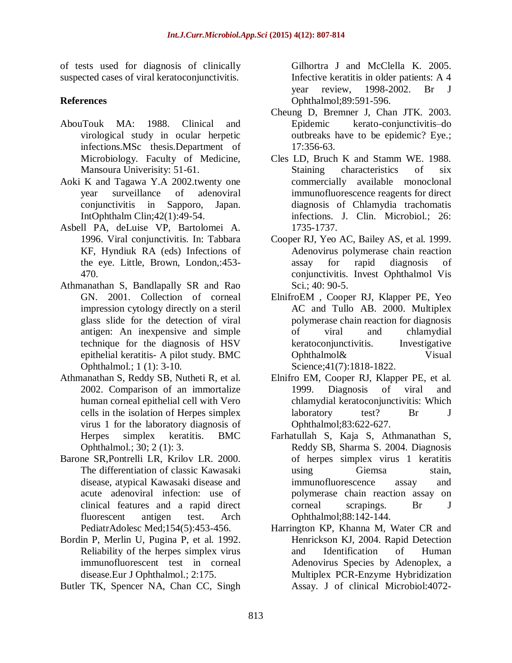of tests used for diagnosis of clinically suspected cases of viral keratoconjunctivitis.

## **References**

- AbouTouk MA: 1988. Clinical and virological study in ocular herpetic infections.MSc thesis.Department of Microbiology. Faculty of Medicine, Mansoura Univerisity: 51-61.
- Aoki K and Tagawa Y.A 2002.twenty one year surveillance of adenoviral conjunctivitis in Sapporo, Japan. IntOphthalm Clin;42(1):49-54.
- Asbell PA, deLuise VP, Bartolomei A. 1996. Viral conjunctivitis. In: Tabbara KF, Hyndiuk RA (eds) Infections of the eye. Little, Brown, London,:453- 470.
- Athmanathan S, Bandlapally SR and Rao GN. 2001. Collection of corneal impression cytology directly on a steril glass slide for the detection of viral antigen: An inexpensive and simple technique for the diagnosis of HSV epithelial keratitis- A pilot study. BMC Ophthalmol.; 1 (1): 3-10.
- Athmanathan S, Reddy SB, Nutheti R, et al. 2002. Comparison of an immortalize human corneal epithelial cell with Vero cells in the isolation of Herpes simplex virus 1 for the laboratory diagnosis of Herpes simplex keratitis. BMC Ophthalmol.; 30; 2 (1): 3.
- Barone SR,Pontrelli LR, Krilov LR. 2000. The differentiation of classic Kawasaki disease, atypical Kawasaki disease and acute adenoviral infection: use of clinical features and a rapid direct fluorescent antigen test. Arch PediatrAdolesc Med;154(5):453-456.
- Bordin P, Merlin U, Pugina P, et al. 1992. Reliability of the herpes simplex virus immunofluorescent test in corneal disease.Eur J Ophthalmol.; 2:175.
- Butler TK, Spencer NA, Chan CC, Singh

Gilhortra J and McClella K. 2005. Infective keratitis in older patients: A 4 year review, 1998-2002. Br J Ophthalmol;89:591-596.

- Cheung D, Bremner J, Chan JTK. 2003. Epidemic kerato-conjunctivitis–do outbreaks have to be epidemic? Eye.; 17:356-63.
- Cles LD, Bruch K and Stamm WE. 1988. Staining characteristics of six commercially available monoclonal immunofluorescence reagents for direct diagnosis of Chlamydia trachomatis infections. J. Clin. Microbiol.; 26: 1735-1737.
- Cooper RJ, Yeo AC, Bailey AS, et al. 1999. Adenovirus polymerase chain reaction assay for rapid diagnosis of conjunctivitis. Invest Ophthalmol Vis Sci.: 40: 90-5.
- ElnifroEM , Cooper RJ, Klapper PE, Yeo AC and Tullo AB. 2000. Multiplex polymerase chain reaction for diagnosis of viral and chlamydial keratoconjunctivitis. Investigative Ophthalmol& Visual Science;41(7):1818-1822.
- Elnifro EM, Cooper RJ, Klapper PE, et al. 1999. Diagnosis of viral and chlamydial keratoconjunctivitis: Which laboratory test? Br J Ophthalmol;83:622-627.
- Farhatullah S, Kaja S, Athmanathan S, Reddy SB, Sharma S. 2004. Diagnosis of herpes simplex virus 1 keratitis using Giemsa stain, immunofluorescence assay and polymerase chain reaction assay on corneal scrapings. Br J Ophthalmol;88:142-144.
- Harrington KP, Khanna M, Water CR and Henrickson KJ, 2004. Rapid Detection and Identification of Human Adenovirus Species by Adenoplex, a Multiplex PCR-Enzyme Hybridization Assay. J of clinical Microbiol:4072-